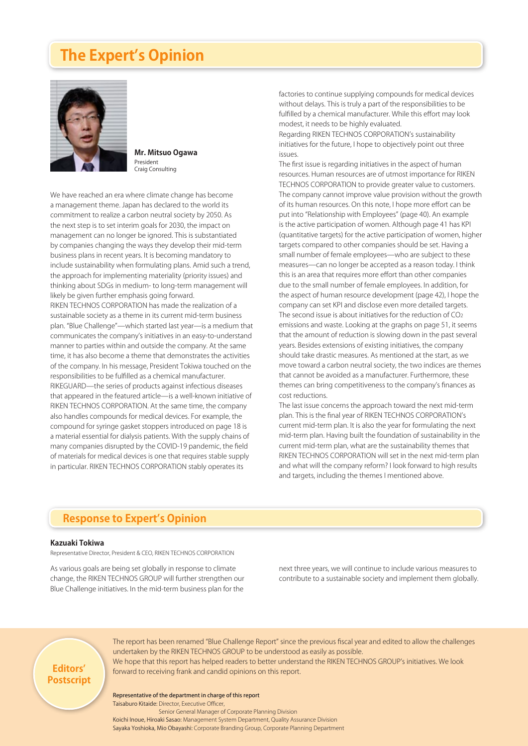# **The Expert's Opinion**



**Mr. Mitsuo Ogawa** President Craig Consulting

We have reached an era where climate change has become a management theme. Japan has declared to the world its commitment to realize a carbon neutral society by 2050. As the next step is to set interim goals for 2030, the impact on management can no longer be ignored. This is substantiated by companies changing the ways they develop their mid-term business plans in recent years. It is becoming mandatory to include sustainability when formulating plans. Amid such a trend, the approach for implementing materiality (priority issues) and thinking about SDGs in medium- to long-term management will likely be given further emphasis going forward. RIKEN TECHNOS CORPORATION has made the realization of a sustainable society as a theme in its current mid-term business plan. "Blue Challenge"—which started last year—is a medium that communicates the company's initiatives in an easy-to-understand manner to parties within and outside the company. At the same time, it has also become a theme that demonstrates the activities of the company. In his message, President Tokiwa touched on the responsibilities to be fulfilled as a chemical manufacturer. RIKEGUARD—the series of products against infectious diseases that appeared in the featured article—is a well-known initiative of RIKEN TECHNOS CORPORATION. At the same time, the company also handles compounds for medical devices. For example, the compound for syringe gasket stoppers introduced on page 18 is a material essential for dialysis patients. With the supply chains of many companies disrupted by the COVID-19 pandemic, the field of materials for medical devices is one that requires stable supply in particular. RIKEN TECHNOS CORPORATION stably operates its

factories to continue supplying compounds for medical devices without delays. This is truly a part of the responsibilities to be fulfilled by a chemical manufacturer. While this effort may look modest, it needs to be highly evaluated.

Regarding RIKEN TECHNOS CORPORATION's sustainability initiatives for the future, I hope to objectively point out three issues.

The first issue is regarding initiatives in the aspect of human resources. Human resources are of utmost importance for RIKEN TECHNOS CORPORATION to provide greater value to customers. The company cannot improve value provision without the growth of its human resources. On this note, I hope more effort can be put into "Relationship with Employees" (page 40). An example is the active participation of women. Although page 41 has KPI (quantitative targets) for the active participation of women, higher targets compared to other companies should be set. Having a small number of female employees—who are subject to these measures—can no longer be accepted as a reason today. I think this is an area that requires more effort than other companies due to the small number of female employees. In addition, for the aspect of human resource development (page 42), I hope the company can set KPI and disclose even more detailed targets. The second issue is about initiatives for the reduction of CO2 emissions and waste. Looking at the graphs on page 51, it seems that the amount of reduction is slowing down in the past several years. Besides extensions of existing initiatives, the company should take drastic measures. As mentioned at the start, as we move toward a carbon neutral society, the two indices are themes that cannot be avoided as a manufacturer. Furthermore, these themes can bring competitiveness to the company's finances as cost reductions.

The last issue concerns the approach toward the next mid-term plan. This is the final year of RIKEN TECHNOS CORPORATION's current mid-term plan. It is also the year for formulating the next mid-term plan. Having built the foundation of sustainability in the current mid-term plan, what are the sustainability themes that RIKEN TECHNOS CORPORATION will set in the next mid-term plan and what will the company reform? I look forward to high results and targets, including the themes I mentioned above.

## **Response to Expert's Opinion**

#### **Kazuaki Tokiwa**

Representative Director, President & CEO, RIKEN TECHNOS CORPORATION

As various goals are being set globally in response to climate change, the RIKEN TECHNOS GROUP will further strengthen our Blue Challenge initiatives. In the mid-term business plan for the

next three years, we will continue to include various measures to contribute to a sustainable society and implement them globally.

**Editors' Postscript** The report has been renamed "Blue Challenge Report" since the previous fiscal year and edited to allow the challenges undertaken by the RIKEN TECHNOS GROUP to be understood as easily as possible. We hope that this report has helped readers to better understand the RIKEN TECHNOS GROUP's initiatives. We look forward to receiving frank and candid opinions on this report.

#### Representative of the department in charge of this report

Taisaburo Kitaide: Director, Executive Officer, Senior General Manager of Corporate Planning Division Koichi Inoue, Hiroaki Sasao: Management System Department, Quality Assurance Division Sayaka Yoshioka, Mio Obayashi: Corporate Branding Group, Corporate Planning Department